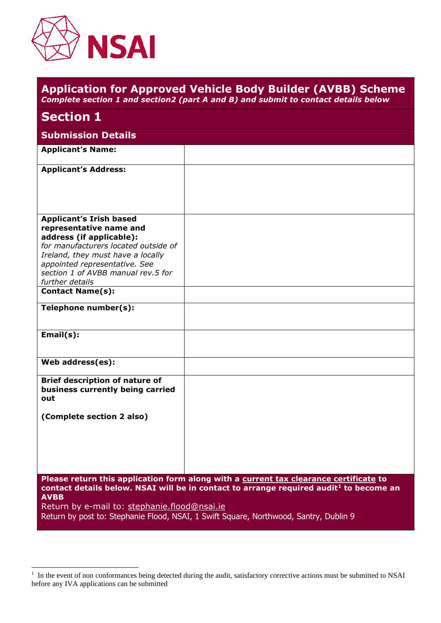

|                                                                                                                                                                                                                                                              | <b>Application for Approved Vehicle Body Builder (AVBB) Scheme</b><br>Complete section 1 and section2 (part A and B) and submit to contact details below                                    |
|--------------------------------------------------------------------------------------------------------------------------------------------------------------------------------------------------------------------------------------------------------------|---------------------------------------------------------------------------------------------------------------------------------------------------------------------------------------------|
| <b>Section 1</b>                                                                                                                                                                                                                                             |                                                                                                                                                                                             |
| <b>Submission Details</b>                                                                                                                                                                                                                                    |                                                                                                                                                                                             |
| <b>Applicant's Name:</b>                                                                                                                                                                                                                                     |                                                                                                                                                                                             |
| <b>Applicant's Address:</b>                                                                                                                                                                                                                                  |                                                                                                                                                                                             |
| <b>Applicant's Irish based</b><br>representative name and<br>address (if applicable):<br>for manufacturers located outside of<br>Ireland, they must have a locally<br>appointed representative. See<br>section 1 of AVBB manual rev.5 for<br>further details |                                                                                                                                                                                             |
| <b>Contact Name(s):</b>                                                                                                                                                                                                                                      |                                                                                                                                                                                             |
| Telephone number(s):                                                                                                                                                                                                                                         |                                                                                                                                                                                             |
| Email(s):                                                                                                                                                                                                                                                    |                                                                                                                                                                                             |
| Web address(es):                                                                                                                                                                                                                                             |                                                                                                                                                                                             |
| <b>Brief description of nature of</b><br>business currently being carried<br>out                                                                                                                                                                             |                                                                                                                                                                                             |
| (Complete section 2 also)                                                                                                                                                                                                                                    |                                                                                                                                                                                             |
|                                                                                                                                                                                                                                                              | Please return this application form along with a current tax clearance certificate to<br>contact details below. NSAI will be in contact to arrange required audit <sup>1</sup> to become an |
| <b>AVBB</b><br>Return by e-mail to: stephanie.flood@nsai.ie                                                                                                                                                                                                  |                                                                                                                                                                                             |

Return by post to: Stephanie Flood, NSAI, 1 Swift Square, Northwood, Santry, Dublin 9

<sup>&</sup>lt;sup>1</sup> In the event of non conformances being detected during the audit, satisfactory corrective actions must be submitted to NSAI before any IVA applications can be submitted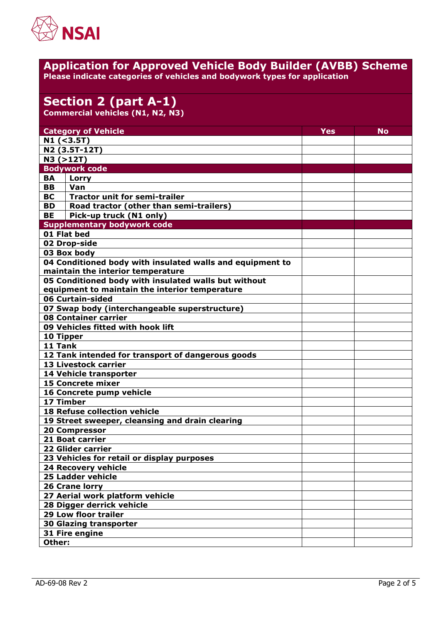

#### **Application for Approved Vehicle Body Builder (AVBB) Scheme Please indicate categories of vehicles and bodywork types for application**

# **Section 2 (part A-1)**

**Commercial vehicles (N1, N2, N3)**

| <b>Category of Vehicle</b><br>$N1$ (<3.5T)<br>N2 (3.5T-12T)<br>N3 (>12T)<br><b>Bodywork code</b><br><b>BA</b><br>Lorry<br><b>BB</b><br>Van<br><b>BC</b><br><b>Tractor unit for semi-trailer</b><br>Road tractor (other than semi-trailers)<br><b>BD</b><br><b>BE</b><br>Pick-up truck (N1 only)<br><b>Supplementary bodywork code</b><br>01 Flat bed<br>02 Drop-side<br>03 Box body<br>04 Conditioned body with insulated walls and equipment to<br>maintain the interior temperature<br>05 Conditioned body with insulated walls but without<br>equipment to maintain the interior temperature<br>06 Curtain-sided<br>07 Swap body (interchangeable superstructure)<br>08 Container carrier<br>09 Vehicles fitted with hook lift<br>10 Tipper<br>11 Tank<br>12 Tank intended for transport of dangerous goods<br>13 Livestock carrier<br>14 Vehicle transporter<br><b>15 Concrete mixer</b><br>16 Concrete pump vehicle<br>17 Timber<br><b>18 Refuse collection vehicle</b><br>19 Street sweeper, cleansing and drain clearing<br><b>20 Compressor</b><br>21 Boat carrier<br><b>22 Glider carrier</b><br>23 Vehicles for retail or display purposes<br><b>24 Recovery vehicle</b><br><b>25 Ladder vehicle</b><br>26 Crane lorry<br>27 Aerial work platform vehicle<br>28 Digger derrick vehicle<br><b>29 Low floor trailer</b><br><b>30 Glazing transporter</b> |  |  |            |    |  |
|------------------------------------------------------------------------------------------------------------------------------------------------------------------------------------------------------------------------------------------------------------------------------------------------------------------------------------------------------------------------------------------------------------------------------------------------------------------------------------------------------------------------------------------------------------------------------------------------------------------------------------------------------------------------------------------------------------------------------------------------------------------------------------------------------------------------------------------------------------------------------------------------------------------------------------------------------------------------------------------------------------------------------------------------------------------------------------------------------------------------------------------------------------------------------------------------------------------------------------------------------------------------------------------------------------------------------------------------------------------|--|--|------------|----|--|
|                                                                                                                                                                                                                                                                                                                                                                                                                                                                                                                                                                                                                                                                                                                                                                                                                                                                                                                                                                                                                                                                                                                                                                                                                                                                                                                                                                  |  |  | <b>Yes</b> | No |  |
|                                                                                                                                                                                                                                                                                                                                                                                                                                                                                                                                                                                                                                                                                                                                                                                                                                                                                                                                                                                                                                                                                                                                                                                                                                                                                                                                                                  |  |  |            |    |  |
|                                                                                                                                                                                                                                                                                                                                                                                                                                                                                                                                                                                                                                                                                                                                                                                                                                                                                                                                                                                                                                                                                                                                                                                                                                                                                                                                                                  |  |  |            |    |  |
|                                                                                                                                                                                                                                                                                                                                                                                                                                                                                                                                                                                                                                                                                                                                                                                                                                                                                                                                                                                                                                                                                                                                                                                                                                                                                                                                                                  |  |  |            |    |  |
|                                                                                                                                                                                                                                                                                                                                                                                                                                                                                                                                                                                                                                                                                                                                                                                                                                                                                                                                                                                                                                                                                                                                                                                                                                                                                                                                                                  |  |  |            |    |  |
|                                                                                                                                                                                                                                                                                                                                                                                                                                                                                                                                                                                                                                                                                                                                                                                                                                                                                                                                                                                                                                                                                                                                                                                                                                                                                                                                                                  |  |  |            |    |  |
|                                                                                                                                                                                                                                                                                                                                                                                                                                                                                                                                                                                                                                                                                                                                                                                                                                                                                                                                                                                                                                                                                                                                                                                                                                                                                                                                                                  |  |  |            |    |  |
|                                                                                                                                                                                                                                                                                                                                                                                                                                                                                                                                                                                                                                                                                                                                                                                                                                                                                                                                                                                                                                                                                                                                                                                                                                                                                                                                                                  |  |  |            |    |  |
|                                                                                                                                                                                                                                                                                                                                                                                                                                                                                                                                                                                                                                                                                                                                                                                                                                                                                                                                                                                                                                                                                                                                                                                                                                                                                                                                                                  |  |  |            |    |  |
|                                                                                                                                                                                                                                                                                                                                                                                                                                                                                                                                                                                                                                                                                                                                                                                                                                                                                                                                                                                                                                                                                                                                                                                                                                                                                                                                                                  |  |  |            |    |  |
|                                                                                                                                                                                                                                                                                                                                                                                                                                                                                                                                                                                                                                                                                                                                                                                                                                                                                                                                                                                                                                                                                                                                                                                                                                                                                                                                                                  |  |  |            |    |  |
|                                                                                                                                                                                                                                                                                                                                                                                                                                                                                                                                                                                                                                                                                                                                                                                                                                                                                                                                                                                                                                                                                                                                                                                                                                                                                                                                                                  |  |  |            |    |  |
|                                                                                                                                                                                                                                                                                                                                                                                                                                                                                                                                                                                                                                                                                                                                                                                                                                                                                                                                                                                                                                                                                                                                                                                                                                                                                                                                                                  |  |  |            |    |  |
|                                                                                                                                                                                                                                                                                                                                                                                                                                                                                                                                                                                                                                                                                                                                                                                                                                                                                                                                                                                                                                                                                                                                                                                                                                                                                                                                                                  |  |  |            |    |  |
|                                                                                                                                                                                                                                                                                                                                                                                                                                                                                                                                                                                                                                                                                                                                                                                                                                                                                                                                                                                                                                                                                                                                                                                                                                                                                                                                                                  |  |  |            |    |  |
|                                                                                                                                                                                                                                                                                                                                                                                                                                                                                                                                                                                                                                                                                                                                                                                                                                                                                                                                                                                                                                                                                                                                                                                                                                                                                                                                                                  |  |  |            |    |  |
|                                                                                                                                                                                                                                                                                                                                                                                                                                                                                                                                                                                                                                                                                                                                                                                                                                                                                                                                                                                                                                                                                                                                                                                                                                                                                                                                                                  |  |  |            |    |  |
|                                                                                                                                                                                                                                                                                                                                                                                                                                                                                                                                                                                                                                                                                                                                                                                                                                                                                                                                                                                                                                                                                                                                                                                                                                                                                                                                                                  |  |  |            |    |  |
|                                                                                                                                                                                                                                                                                                                                                                                                                                                                                                                                                                                                                                                                                                                                                                                                                                                                                                                                                                                                                                                                                                                                                                                                                                                                                                                                                                  |  |  |            |    |  |
|                                                                                                                                                                                                                                                                                                                                                                                                                                                                                                                                                                                                                                                                                                                                                                                                                                                                                                                                                                                                                                                                                                                                                                                                                                                                                                                                                                  |  |  |            |    |  |
|                                                                                                                                                                                                                                                                                                                                                                                                                                                                                                                                                                                                                                                                                                                                                                                                                                                                                                                                                                                                                                                                                                                                                                                                                                                                                                                                                                  |  |  |            |    |  |
|                                                                                                                                                                                                                                                                                                                                                                                                                                                                                                                                                                                                                                                                                                                                                                                                                                                                                                                                                                                                                                                                                                                                                                                                                                                                                                                                                                  |  |  |            |    |  |
|                                                                                                                                                                                                                                                                                                                                                                                                                                                                                                                                                                                                                                                                                                                                                                                                                                                                                                                                                                                                                                                                                                                                                                                                                                                                                                                                                                  |  |  |            |    |  |
|                                                                                                                                                                                                                                                                                                                                                                                                                                                                                                                                                                                                                                                                                                                                                                                                                                                                                                                                                                                                                                                                                                                                                                                                                                                                                                                                                                  |  |  |            |    |  |
|                                                                                                                                                                                                                                                                                                                                                                                                                                                                                                                                                                                                                                                                                                                                                                                                                                                                                                                                                                                                                                                                                                                                                                                                                                                                                                                                                                  |  |  |            |    |  |
|                                                                                                                                                                                                                                                                                                                                                                                                                                                                                                                                                                                                                                                                                                                                                                                                                                                                                                                                                                                                                                                                                                                                                                                                                                                                                                                                                                  |  |  |            |    |  |
|                                                                                                                                                                                                                                                                                                                                                                                                                                                                                                                                                                                                                                                                                                                                                                                                                                                                                                                                                                                                                                                                                                                                                                                                                                                                                                                                                                  |  |  |            |    |  |
|                                                                                                                                                                                                                                                                                                                                                                                                                                                                                                                                                                                                                                                                                                                                                                                                                                                                                                                                                                                                                                                                                                                                                                                                                                                                                                                                                                  |  |  |            |    |  |
|                                                                                                                                                                                                                                                                                                                                                                                                                                                                                                                                                                                                                                                                                                                                                                                                                                                                                                                                                                                                                                                                                                                                                                                                                                                                                                                                                                  |  |  |            |    |  |
|                                                                                                                                                                                                                                                                                                                                                                                                                                                                                                                                                                                                                                                                                                                                                                                                                                                                                                                                                                                                                                                                                                                                                                                                                                                                                                                                                                  |  |  |            |    |  |
|                                                                                                                                                                                                                                                                                                                                                                                                                                                                                                                                                                                                                                                                                                                                                                                                                                                                                                                                                                                                                                                                                                                                                                                                                                                                                                                                                                  |  |  |            |    |  |
|                                                                                                                                                                                                                                                                                                                                                                                                                                                                                                                                                                                                                                                                                                                                                                                                                                                                                                                                                                                                                                                                                                                                                                                                                                                                                                                                                                  |  |  |            |    |  |
|                                                                                                                                                                                                                                                                                                                                                                                                                                                                                                                                                                                                                                                                                                                                                                                                                                                                                                                                                                                                                                                                                                                                                                                                                                                                                                                                                                  |  |  |            |    |  |
|                                                                                                                                                                                                                                                                                                                                                                                                                                                                                                                                                                                                                                                                                                                                                                                                                                                                                                                                                                                                                                                                                                                                                                                                                                                                                                                                                                  |  |  |            |    |  |
|                                                                                                                                                                                                                                                                                                                                                                                                                                                                                                                                                                                                                                                                                                                                                                                                                                                                                                                                                                                                                                                                                                                                                                                                                                                                                                                                                                  |  |  |            |    |  |
|                                                                                                                                                                                                                                                                                                                                                                                                                                                                                                                                                                                                                                                                                                                                                                                                                                                                                                                                                                                                                                                                                                                                                                                                                                                                                                                                                                  |  |  |            |    |  |
|                                                                                                                                                                                                                                                                                                                                                                                                                                                                                                                                                                                                                                                                                                                                                                                                                                                                                                                                                                                                                                                                                                                                                                                                                                                                                                                                                                  |  |  |            |    |  |
|                                                                                                                                                                                                                                                                                                                                                                                                                                                                                                                                                                                                                                                                                                                                                                                                                                                                                                                                                                                                                                                                                                                                                                                                                                                                                                                                                                  |  |  |            |    |  |
|                                                                                                                                                                                                                                                                                                                                                                                                                                                                                                                                                                                                                                                                                                                                                                                                                                                                                                                                                                                                                                                                                                                                                                                                                                                                                                                                                                  |  |  |            |    |  |
|                                                                                                                                                                                                                                                                                                                                                                                                                                                                                                                                                                                                                                                                                                                                                                                                                                                                                                                                                                                                                                                                                                                                                                                                                                                                                                                                                                  |  |  |            |    |  |
|                                                                                                                                                                                                                                                                                                                                                                                                                                                                                                                                                                                                                                                                                                                                                                                                                                                                                                                                                                                                                                                                                                                                                                                                                                                                                                                                                                  |  |  |            |    |  |
|                                                                                                                                                                                                                                                                                                                                                                                                                                                                                                                                                                                                                                                                                                                                                                                                                                                                                                                                                                                                                                                                                                                                                                                                                                                                                                                                                                  |  |  |            |    |  |
| 31 Fire engine                                                                                                                                                                                                                                                                                                                                                                                                                                                                                                                                                                                                                                                                                                                                                                                                                                                                                                                                                                                                                                                                                                                                                                                                                                                                                                                                                   |  |  |            |    |  |
| Other:                                                                                                                                                                                                                                                                                                                                                                                                                                                                                                                                                                                                                                                                                                                                                                                                                                                                                                                                                                                                                                                                                                                                                                                                                                                                                                                                                           |  |  |            |    |  |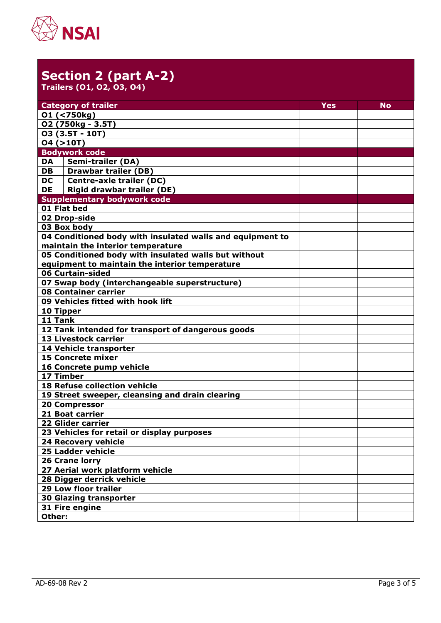

### **Section 2 (part A-2) Trailers (O1, O2, O3, O4)**

| <b>Category of trailer</b>                                                                                                           | Yes | No |  |  |
|--------------------------------------------------------------------------------------------------------------------------------------|-----|----|--|--|
| 01 (<750kg)                                                                                                                          |     |    |  |  |
| 02 (750kg - 3.5T)                                                                                                                    |     |    |  |  |
| 03 (3.5T - 10T)                                                                                                                      |     |    |  |  |
| 04 (>10T)                                                                                                                            |     |    |  |  |
| <b>Bodywork code</b>                                                                                                                 |     |    |  |  |
| <b>Semi-trailer (DA)</b><br>DA                                                                                                       |     |    |  |  |
| <b>Drawbar trailer (DB)</b><br><b>DB</b>                                                                                             |     |    |  |  |
| <b>Centre-axle trailer (DC)</b><br><b>DC</b>                                                                                         |     |    |  |  |
| <b>Rigid drawbar trailer (DE)</b><br><b>DE</b>                                                                                       |     |    |  |  |
| <b>Supplementary bodywork code</b>                                                                                                   |     |    |  |  |
| 01 Flat bed                                                                                                                          |     |    |  |  |
| 02 Drop-side                                                                                                                         |     |    |  |  |
| 03 Box body                                                                                                                          |     |    |  |  |
| 04 Conditioned body with insulated walls and equipment to                                                                            |     |    |  |  |
| maintain the interior temperature                                                                                                    |     |    |  |  |
| 05 Conditioned body with insulated walls but without                                                                                 |     |    |  |  |
| equipment to maintain the interior temperature                                                                                       |     |    |  |  |
| 06 Curtain-sided                                                                                                                     |     |    |  |  |
| 07 Swap body (interchangeable superstructure)                                                                                        |     |    |  |  |
| 08 Container carrier                                                                                                                 |     |    |  |  |
| 09 Vehicles fitted with hook lift                                                                                                    |     |    |  |  |
| 10 Tipper                                                                                                                            |     |    |  |  |
| 11 Tank                                                                                                                              |     |    |  |  |
| 12 Tank intended for transport of dangerous goods                                                                                    |     |    |  |  |
| 13 Livestock carrier                                                                                                                 |     |    |  |  |
| 14 Vehicle transporter                                                                                                               |     |    |  |  |
| <b>15 Concrete mixer</b>                                                                                                             |     |    |  |  |
| 16 Concrete pump vehicle                                                                                                             |     |    |  |  |
| 17 Timber                                                                                                                            |     |    |  |  |
|                                                                                                                                      |     |    |  |  |
| 19 Street sweeper, cleansing and drain clearing                                                                                      |     |    |  |  |
| <b>20 Compressor</b>                                                                                                                 |     |    |  |  |
| <b>21 Boat carrier</b>                                                                                                               |     |    |  |  |
|                                                                                                                                      |     |    |  |  |
| 23 Vehicles for retail or display purposes                                                                                           |     |    |  |  |
| <b>24 Recovery vehicle</b>                                                                                                           |     |    |  |  |
| 25 Ladder vehicle                                                                                                                    |     |    |  |  |
|                                                                                                                                      |     |    |  |  |
| 27 Aerial work platform vehicle                                                                                                      |     |    |  |  |
| 28 Digger derrick vehicle                                                                                                            |     |    |  |  |
| <b>29 Low floor trailer</b>                                                                                                          |     |    |  |  |
|                                                                                                                                      |     |    |  |  |
|                                                                                                                                      |     |    |  |  |
| Other:                                                                                                                               |     |    |  |  |
| <b>18 Refuse collection vehicle</b><br>22 Glider carrier<br><b>26 Crane lorry</b><br><b>30 Glazing transporter</b><br>31 Fire engine |     |    |  |  |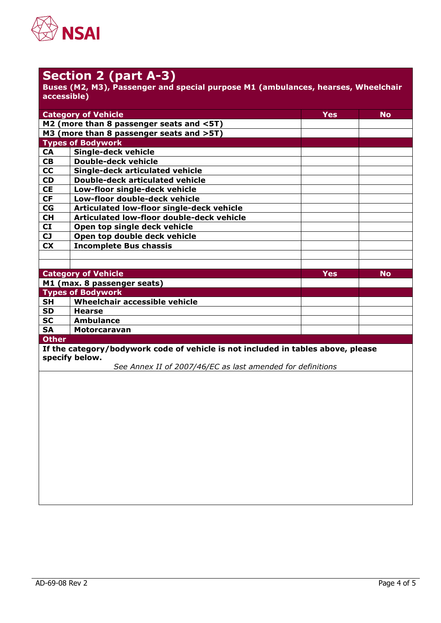

## **Section 2 (part A-3)**

**Buses (M2, M3), Passenger and special purpose M1 (ambulances, hearses, Wheelchair accessible)**

| <b>Category of Vehicle</b><br>Yes                                                |                                           |            | <b>No</b> |  |
|----------------------------------------------------------------------------------|-------------------------------------------|------------|-----------|--|
|                                                                                  | M2 (more than 8 passenger seats and <5T)  |            |           |  |
|                                                                                  | M3 (more than 8 passenger seats and >5T)  |            |           |  |
|                                                                                  | <b>Types of Bodywork</b>                  |            |           |  |
| <b>CA</b>                                                                        | <b>Single-deck vehicle</b>                |            |           |  |
| <b>CB</b>                                                                        | <b>Double-deck vehicle</b>                |            |           |  |
| <b>CC</b>                                                                        | Single-deck articulated vehicle           |            |           |  |
| <b>CD</b>                                                                        | <b>Double-deck articulated vehicle</b>    |            |           |  |
| <b>CE</b>                                                                        | Low-floor single-deck vehicle             |            |           |  |
| <b>CF</b>                                                                        | Low-floor double-deck vehicle             |            |           |  |
| CG                                                                               | Articulated low-floor single-deck vehicle |            |           |  |
| <b>CH</b>                                                                        | Articulated low-floor double-deck vehicle |            |           |  |
| CI                                                                               | Open top single deck vehicle              |            |           |  |
| <b>CJ</b>                                                                        | Open top double deck vehicle              |            |           |  |
| <b>CX</b>                                                                        | <b>Incomplete Bus chassis</b>             |            |           |  |
|                                                                                  |                                           |            |           |  |
|                                                                                  |                                           |            |           |  |
|                                                                                  | <b>Category of Vehicle</b>                | <b>Yes</b> | <b>No</b> |  |
| M1 (max. 8 passenger seats)                                                      |                                           |            |           |  |
|                                                                                  | <b>Types of Bodywork</b>                  |            |           |  |
| <b>SH</b>                                                                        | Wheelchair accessible vehicle             |            |           |  |
| <b>SD</b>                                                                        | <b>Hearse</b>                             |            |           |  |
| <b>SC</b>                                                                        | Ambulance                                 |            |           |  |
| <b>SA</b>                                                                        | <b>Motorcaravan</b>                       |            |           |  |
| <b>Other</b>                                                                     |                                           |            |           |  |
| If the category/bodywork code of vehicle is not included in tables above, please |                                           |            |           |  |
| specify below.                                                                   |                                           |            |           |  |
| See Annex II of 2007/46/EC as last amended for definitions                       |                                           |            |           |  |
|                                                                                  |                                           |            |           |  |